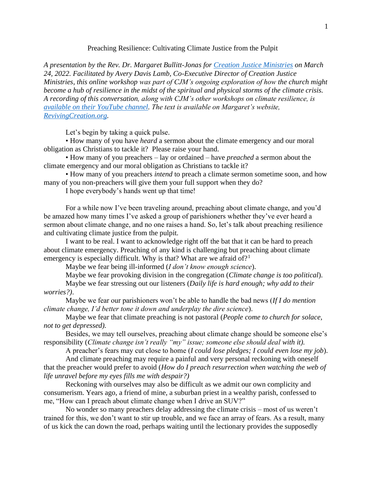## Preaching Resilience: Cultivating Climate Justice from the Pulpit

*A presentation by the Rev. Dr. Margaret Bullitt-Jonas for [Creation Justice Ministries](https://www.creationjustice.org/) on March 24, 2022. Facilitated by Avery Davis Lamb, Co-Executive Director of Creation Justice Ministries, this online workshop was part of CJM's ongoing exploration of how the church might become a hub of resilience in the midst of the spiritual and physical storms of the climate crisis. A recording of this conversation, along with CJM's other workshops on climate resilience, is [available on their YouTube channel.](https://www.youtube.com/playlist?list=PL66hQvP-gSzuK9cLJdusa84JCQjMki7pO) The text is available on Margaret's website, [RevivingCreation.org.](https://revivingcreation.org/)*

Let's begin by taking a quick pulse.

• How many of you have *heard* a sermon about the climate emergency and our moral obligation as Christians to tackle it? Please raise your hand.

• How many of you preachers – lay or ordained – have *preached* a sermon about the climate emergency and our moral obligation as Christians to tackle it?

• How many of you preachers *intend* to preach a climate sermon sometime soon, and how many of you non-preachers will give them your full support when they do?

I hope everybody's hands went up that time!

For a while now I've been traveling around, preaching about climate change, and you'd be amazed how many times I've asked a group of parishioners whether they've ever heard a sermon about climate change, and no one raises a hand. So, let's talk about preaching resilience and cultivating climate justice from the pulpit.

I want to be real. I want to acknowledge right off the bat that it can be hard to preach about climate emergency. Preaching of any kind is challenging but preaching about climate emergency is especially difficult. Why is that? What are we afraid of?<sup>1</sup>

Maybe we fear being ill-informed (*I don't know enough science*).

Maybe we fear provoking division in the congregation (*Climate change is too political*).

Maybe we fear stressing out our listeners (*Daily life is hard enough; why add to their worries?)*.

Maybe we fear our parishioners won't be able to handle the bad news (*If I do mention climate change, I'd better tone it down and underplay the dire science*).

Maybe we fear that climate preaching is not pastoral (*People come to church for solace, not to get depressed).*

Besides, we may tell ourselves, preaching about climate change should be someone else's responsibility (*Climate change isn't really "my" issue; someone else should deal with it).*

A preacher's fears may cut close to home (*I could lose pledges; I could even lose my job*).

And climate preaching may require a painful and very personal reckoning with oneself that the preacher would prefer to avoid (*How do I preach resurrection when watching the web of life unravel before my eyes fills me with despair?)* 

Reckoning with ourselves may also be difficult as we admit our own complicity and consumerism. Years ago, a friend of mine, a suburban priest in a wealthy parish, confessed to me, "How can I preach about climate change when I drive an SUV?"

No wonder so many preachers delay addressing the climate crisis – most of us weren't trained for this, we don't want to stir up trouble, and we face an array of fears. As a result, many of us kick the can down the road, perhaps waiting until the lectionary provides the supposedly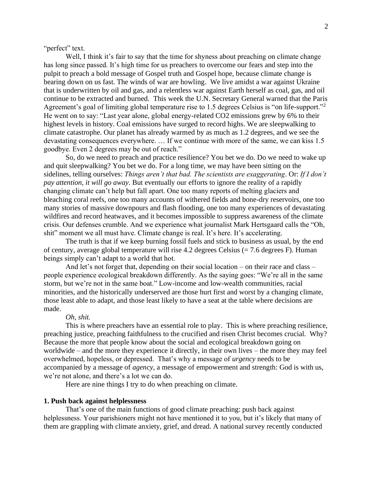"perfect" text.

Well, I think it's fair to say that the time for shyness about preaching on climate change has long since passed. It's high time for us preachers to overcome our fears and step into the pulpit to preach a bold message of Gospel truth and Gospel hope, because climate change is bearing down on us fast. The winds of war are howling. We live amidst a war against Ukraine that is underwritten by oil and gas, and a relentless war against Earth herself as coal, gas, and oil continue to be extracted and burned. This week the U.N. Secretary General warned that the Paris Agreement's goal of limiting global temperature rise to 1.5 degrees Celsius is "on life-support."<sup>2</sup> He went on to say: "Last year alone, global energy-related CO2 emissions grew by 6% to their highest levels in history. Coal emissions have surged to record highs. We are sleepwalking to climate catastrophe. Our planet has already warmed by as much as 1.2 degrees, and we see the devastating consequences everywhere. … If we continue with more of the same, we can kiss 1.5 goodbye. Even 2 degrees may be out of reach."

So, do we need to preach and practice resilience? You bet we do. Do we need to wake up and quit sleepwalking? You bet we do. For a long time, we may have been sitting on the sidelines, telling ourselves: *Things aren't that bad. The scientists are exaggerating*. Or: *If I don't pay attention, it will go away*. But eventually our efforts to ignore the reality of a rapidly changing climate can't help but fall apart. One too many reports of melting glaciers and bleaching coral reefs, one too many accounts of withered fields and bone-dry reservoirs, one too many stories of massive downpours and flash flooding, one too many experiences of devastating wildfires and record heatwaves, and it becomes impossible to suppress awareness of the climate crisis. Our defenses crumble. And we experience what journalist Mark Hertsgaard calls the "Oh, shit" moment we all must have. Climate change is real. It's here. It's accelerating.

The truth is that if we keep burning fossil fuels and stick to business as usual, by the end of century, average global temperature will rise 4.2 degrees Celsius  $(= 7.6$  degrees F). Human beings simply can't adapt to a world that hot.

And let's not forget that, depending on their social location – on their race and class – people experience ecological breakdown differently. As the saying goes: "We're all in the same storm, but we're not in the same boat." Low-income and low-wealth communities, racial minorities, and the historically underserved are those hurt first and worst by a changing climate, those least able to adapt, and those least likely to have a seat at the table where decisions are made.

### *Oh, shit.*

This is where preachers have an essential role to play. This is where preaching resilience, preaching justice, preaching faithfulness to the crucified and risen Christ becomes crucial. Why? Because the more that people know about the social and ecological breakdown going on worldwide – and the more they experience it directly, in their own lives – the more they may feel overwhelmed, hopeless, or depressed. That's why a message of *urgency* needs to be accompanied by a message of *agency*, a message of empowerment and strength: God is with us, we're not alone, and there's a lot we can do.

Here are nine things I try to do when preaching on climate.

## **1. Push back against helplessness**

That's one of the main functions of good climate preaching: push back against helplessness. Your parishioners might not have mentioned it to you, but it's likely that many of them are grappling with climate anxiety, grief, and dread. A national survey recently conducted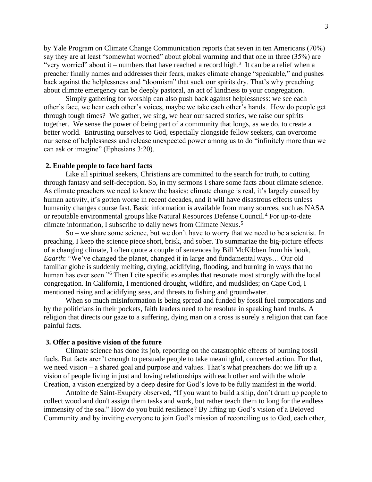by Yale Program on Climate Change Communication reports that seven in ten Americans (70%) say they are at least "somewhat worried" about global warming and that one in three (35%) are "very worried" about it – numbers that have reached a record high.<sup>3</sup> It can be a relief when a preacher finally names and addresses their fears, makes climate change "speakable," and pushes back against the helplessness and "doomism" that suck our spirits dry. That's why preaching about climate emergency can be deeply pastoral, an act of kindness to your congregation.

Simply gathering for worship can also push back against helplessness: we see each other's face, we hear each other's voices, maybe we take each other's hands. How do people get through tough times? We gather, we sing, we hear our sacred stories, we raise our spirits together. We sense the power of being part of a community that longs, as we do, to create a better world. Entrusting ourselves to God, especially alongside fellow seekers, can overcome our sense of helplessness and release unexpected power among us to do "infinitely more than we can ask or imagine" (Ephesians 3:20).

### **2. Enable people to face hard facts**

Like all spiritual seekers, Christians are committed to the search for truth, to cutting through fantasy and self-deception. So, in my sermons I share some facts about climate science. As climate preachers we need to know the basics: climate change is real, it's largely caused by human activity, it's gotten worse in recent decades, and it will have disastrous effects unless humanity changes course fast. Basic information is available from many sources, such as NASA or reputable environmental groups like Natural Resources Defense Council.<sup>4</sup> For up-to-date climate information, I subscribe to daily news from Climate Nexus.<sup>5</sup>

 So – we share some science, but we don't have to worry that we need to be a scientist. In preaching, I keep the science piece short, brisk, and sober. To summarize the big-picture effects of a changing climate, I often quote a couple of sentences by Bill McKibben from his book, *Eaarth*: "We've changed the planet, changed it in large and fundamental ways… Our old familiar globe is suddenly melting, drying, acidifying, flooding, and burning in ways that no human has ever seen."<sup>6</sup> Then I cite specific examples that resonate most strongly with the local congregation. In California, I mentioned drought, wildfire, and mudslides; on Cape Cod, I mentioned rising and acidifying seas, and threats to fishing and groundwater.

When so much misinformation is being spread and funded by fossil fuel corporations and by the politicians in their pockets, faith leaders need to be resolute in speaking hard truths. A religion that directs our gaze to a suffering, dying man on a cross is surely a religion that can face painful facts.

## **3. Offer a positive vision of the future**

Climate science has done its job, reporting on the catastrophic effects of burning fossil fuels. But facts aren't enough to persuade people to take meaningful, concerted action. For that, we need vision – a shared goal and purpose and values. That's what preachers do: we lift up a vision of people living in just and loving relationships with each other and with the whole Creation, a vision energized by a deep desire for God's love to be fully manifest in the world.

Antoine de Saint-Exupéry observed, "If you want to build a ship, don't drum up people to collect wood and don't assign them tasks and work, but rather teach them to long for the endless immensity of the sea." How do you build resilience? By lifting up God's vision of a Beloved Community and by inviting everyone to join God's mission of reconciling us to God, each other,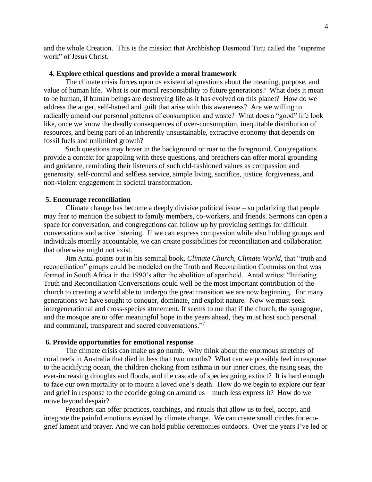and the whole Creation. This is the mission that Archbishop Desmond Tutu called the "supreme work" of Jesus Christ.

# **4. Explore ethical questions and provide a moral framework**

The climate crisis forces upon us existential questions about the meaning, purpose, and value of human life. What is our moral responsibility to future generations? What does it mean to be human, if human beings are destroying life as it has evolved on this planet? How do we address the anger, self-hatred and guilt that arise with this awareness? Are we willing to radically amend our personal patterns of consumption and waste? What does a "good" life look like, once we know the deadly consequences of over-consumption, inequitable distribution of resources, and being part of an inherently unsustainable, extractive economy that depends on fossil fuels and unlimited growth?

Such questions may hover in the background or roar to the foreground. Congregations provide a context for grappling with these questions, and preachers can offer moral grounding and guidance, reminding their listeners of such old-fashioned values as compassion and generosity, self-control and selfless service, simple living, sacrifice, justice, forgiveness, and non-violent engagement in societal transformation.

### **5. Encourage reconciliation**

Climate change has become a deeply divisive political issue – so polarizing that people may fear to mention the subject to family members, co-workers, and friends. Sermons can open a space for conversation, and congregations can follow up by providing settings for difficult conversations and active listening. If we can express compassion while also holding groups and individuals morally accountable, we can create possibilities for reconciliation and collaboration that otherwise might not exist.

Jim Antal points out in his seminal book, *Climate Church, Climate World*, that "truth and reconciliation" groups could be modeled on the Truth and Reconciliation Commission that was formed in South Africa in the 1990's after the abolition of apartheid. Antal writes: "Initiating Truth and Reconciliation Conversations could well be the most important contribution of the church to creating a world able to undergo the great transition we are now beginning. For many generations we have sought to conquer, dominate, and exploit nature. Now we must seek intergenerational and cross-species atonement. It seems to me that if the church, the synagogue, and the mosque are to offer meaningful hope in the years ahead, they must host such personal and communal, transparent and sacred conversations."<sup>7</sup>

### **6. Provide opportunities for emotional response**

The climate crisis can make us go numb. Why think about the enormous stretches of coral reefs in Australia that died in less than two months? What can we possibly feel in response to the acidifying ocean, the children choking from asthma in our inner cities, the rising seas, the ever-increasing droughts and floods, and the cascade of species going extinct? It is hard enough to face our own mortality or to mourn a loved one's death. How do we begin to explore our fear and grief in response to the ecocide going on around us – much less express it? How do we move beyond despair?

Preachers can offer practices, teachings, and rituals that allow us to feel, accept, and integrate the painful emotions evoked by climate change. We can create small circles for ecogrief lament and prayer. And we can hold public ceremonies outdoors. Over the years I've led or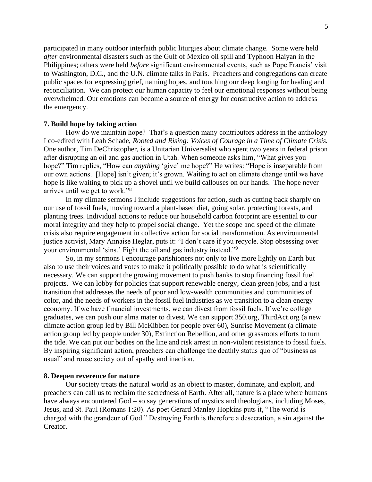participated in many outdoor interfaith public liturgies about climate change. Some were held *after* environmental disasters such as the Gulf of Mexico oil spill and Typhoon Haiyan in the Philippines; others were held *before* significant environmental events, such as Pope Francis' visit to Washington, D.C., and the U.N. climate talks in Paris. Preachers and congregations can create public spaces for expressing grief, naming hopes, and touching our deep longing for healing and reconciliation. We can protect our human capacity to feel our emotional responses without being overwhelmed. Our emotions can become a source of energy for constructive action to address the emergency.

## **7. Build hope by taking action**

How do we maintain hope? That's a question many contributors address in the anthology I co-edited with Leah Schade, *Rooted and Rising: Voices of Courage in a Time of Climate Crisis.* One author, Tim DeChristopher, is a Unitarian Universalist who spent two years in federal prison after disrupting an oil and gas auction in Utah. When someone asks him, "What gives you hope?" Tim replies, "How can *anything* 'give' me hope?" He writes: "Hope is inseparable from our own actions. [Hope] isn't given; it's grown. Waiting to act on climate change until we have hope is like waiting to pick up a shovel until we build callouses on our hands. The hope never arrives until we get to work."<sup>8</sup>

In my climate sermons I include suggestions for action, such as cutting back sharply on our use of fossil fuels, moving toward a plant-based diet, going solar, protecting forests, and planting trees. Individual actions to reduce our household carbon footprint are essential to our moral integrity and they help to propel social change. Yet the scope and speed of the climate crisis also require engagement in collective action for social transformation. As environmental justice activist, Mary Annaise Heglar, puts it: "I don't care if you recycle. Stop obsessing over your environmental 'sins.' Fight the oil and gas industry instead."<sup>9</sup>

So, in my sermons I encourage parishioners not only to live more lightly on Earth but also to use their voices and votes to make it politically possible to do what is scientifically necessary. We can support the growing movement to push banks to stop financing fossil fuel projects. We can lobby for policies that support renewable energy, clean green jobs, and a just transition that addresses the needs of poor and low-wealth communities and communities of color, and the needs of workers in the fossil fuel industries as we transition to a clean energy economy. If we have financial investments, we can divest from fossil fuels. If we're college graduates, we can push our alma mater to divest. We can support 350.org, ThirdAct.org (a new climate action group led by Bill McKibben for people over 60), Sunrise Movement (a climate action group led by people under 30), Extinction Rebellion, and other grassroots efforts to turn the tide. We can put our bodies on the line and risk arrest in non-violent resistance to fossil fuels. By inspiring significant action, preachers can challenge the deathly status quo of "business as usual" and rouse society out of apathy and inaction.

# **8. Deepen reverence for nature**

Our society treats the natural world as an object to master, dominate, and exploit, and preachers can call us to reclaim the sacredness of Earth. After all, nature is a place where humans have always encountered God – so say generations of mystics and theologians, including Moses, Jesus, and St. Paul (Romans 1:20). As poet Gerard Manley Hopkins puts it, "The world is charged with the grandeur of God." Destroying Earth is therefore a desecration, a sin against the Creator.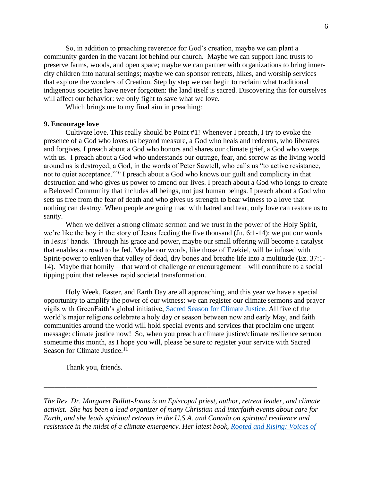So, in addition to preaching reverence for God's creation, maybe we can plant a community garden in the vacant lot behind our church. Maybe we can support land trusts to preserve farms, woods, and open space; maybe we can partner with organizations to bring innercity children into natural settings; maybe we can sponsor retreats, hikes, and worship services that explore the wonders of Creation. Step by step we can begin to reclaim what traditional indigenous societies have never forgotten: the land itself is sacred. Discovering this for ourselves will affect our behavior: we only fight to save what we love.

Which brings me to my final aim in preaching:

# **9. Encourage love**

Cultivate love. This really should be Point #1! Whenever I preach, I try to evoke the presence of a God who loves us beyond measure, a God who heals and redeems, who liberates and forgives. I preach about a God who honors and shares our climate grief, a God who weeps with us. I preach about a God who understands our outrage, fear, and sorrow as the living world around us is destroyed; a God, in the words of Peter Sawtell, who calls us "to active resistance, not to quiet acceptance."<sup>10</sup> I preach about a God who knows our guilt and complicity in that destruction and who gives us power to amend our lives. I preach about a God who longs to create a Beloved Community that includes all beings, not just human beings. I preach about a God who sets us free from the fear of death and who gives us strength to bear witness to a love that nothing can destroy. When people are going mad with hatred and fear, only love can restore us to sanity.

When we deliver a strong climate sermon and we trust in the power of the Holy Spirit, we're like the boy in the story of Jesus feeding the five thousand (Jn. 6:1-14): we put our words in Jesus' hands. Through his grace and power, maybe our small offering will become a catalyst that enables a crowd to be fed. Maybe our words, like those of Ezekiel, will be infused with Spirit-power to enliven that valley of dead, dry bones and breathe life into a multitude (Ez. 37:1- 14). Maybe that homily – that word of challenge or encouragement – will contribute to a social tipping point that releases rapid societal transformation.

Holy Week, Easter, and Earth Day are all approaching, and this year we have a special opportunity to amplify the power of our witness: we can register our climate sermons and prayer vigils with GreenFaith's global initiative, [Sacred Season for Climate Justice.](https://greenfaith.org/sacred-season/) All five of the world's major religions celebrate a holy day or season between now and early May, and faith communities around the world will hold special events and services that proclaim one urgent message: climate justice now! So, when you preach a climate justice/climate resilience sermon sometime this month, as I hope you will, please be sure to register your service with Sacred Season for Climate Justice.<sup>11</sup>

Thank you, friends.

*The Rev. Dr. Margaret Bullitt-Jonas is an Episcopal priest, author, retreat leader, and climate activist. She has been a lead organizer of many Christian and interfaith events about care for Earth, and she leads spiritual retreats in the U.S.A. and Canada on spiritual resilience and resistance in the midst of a climate emergency. Her latest book, [Rooted and Rising: Voices of](https://rowman.com/ISBN/9781538127759/Rooted-and-Rising-Voices-of-Courage-in-a-Time-of-Climate-Crisis)* 

\_\_\_\_\_\_\_\_\_\_\_\_\_\_\_\_\_\_\_\_\_\_\_\_\_\_\_\_\_\_\_\_\_\_\_\_\_\_\_\_\_\_\_\_\_\_\_\_\_\_\_\_\_\_\_\_\_\_\_\_\_\_\_\_\_\_\_\_\_\_\_\_\_\_\_